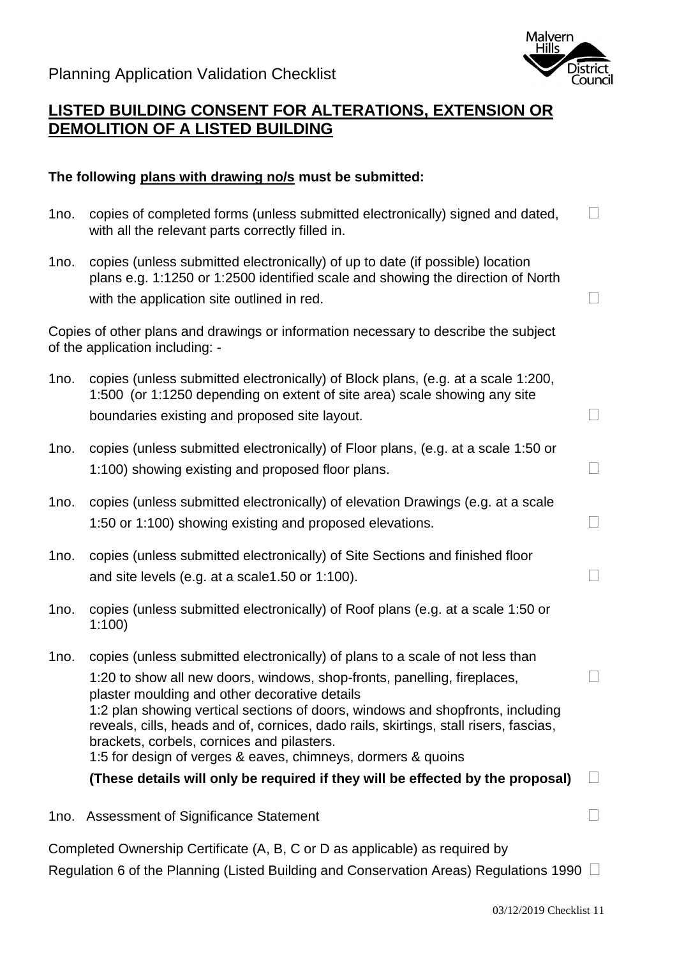

## **LISTED BUILDING CONSENT FOR ALTERATIONS, EXTENSION OR DEMOLITION OF A LISTED BUILDING**

## **The following plans with drawing no/s must be submitted:**

| 1no. | copies of completed forms (unless submitted electronically) signed and dated,<br>with all the relevant parts correctly filled in.                                                                                                                                                                                                                                                                                                                                                                   | $\overline{\phantom{a}}$    |
|------|-----------------------------------------------------------------------------------------------------------------------------------------------------------------------------------------------------------------------------------------------------------------------------------------------------------------------------------------------------------------------------------------------------------------------------------------------------------------------------------------------------|-----------------------------|
| 1no. | copies (unless submitted electronically) of up to date (if possible) location<br>plans e.g. 1:1250 or 1:2500 identified scale and showing the direction of North<br>with the application site outlined in red.                                                                                                                                                                                                                                                                                      | $\mathcal{C}_{\mathcal{A}}$ |
|      | Copies of other plans and drawings or information necessary to describe the subject<br>of the application including: -                                                                                                                                                                                                                                                                                                                                                                              |                             |
| 1no. | copies (unless submitted electronically) of Block plans, (e.g. at a scale 1:200,<br>1:500 (or 1:1250 depending on extent of site area) scale showing any site<br>boundaries existing and proposed site layout.                                                                                                                                                                                                                                                                                      | ┑                           |
| 1no. | copies (unless submitted electronically) of Floor plans, (e.g. at a scale 1:50 or<br>1:100) showing existing and proposed floor plans.                                                                                                                                                                                                                                                                                                                                                              | $\Box$                      |
| 1no. | copies (unless submitted electronically) of elevation Drawings (e.g. at a scale<br>1:50 or 1:100) showing existing and proposed elevations.                                                                                                                                                                                                                                                                                                                                                         | ٦                           |
| 1no. | copies (unless submitted electronically) of Site Sections and finished floor<br>and site levels (e.g. at a scale 1.50 or 1:100).                                                                                                                                                                                                                                                                                                                                                                    | ٦                           |
| 1no. | copies (unless submitted electronically) of Roof plans (e.g. at a scale 1:50 or<br>1:100                                                                                                                                                                                                                                                                                                                                                                                                            |                             |
| 1no. | copies (unless submitted electronically) of plans to a scale of not less than<br>1:20 to show all new doors, windows, shop-fronts, panelling, fireplaces,<br>plaster moulding and other decorative details<br>1:2 plan showing vertical sections of doors, windows and shopfronts, including<br>reveals, cills, heads and of, cornices, dado rails, skirtings, stall risers, fascias,<br>brackets, corbels, cornices and pilasters.<br>1:5 for design of verges & eaves, chimneys, dormers & quoins |                             |
|      | (These details will only be required if they will be effected by the proposal)                                                                                                                                                                                                                                                                                                                                                                                                                      |                             |
| 1no. | <b>Assessment of Significance Statement</b>                                                                                                                                                                                                                                                                                                                                                                                                                                                         |                             |

Completed Ownership Certificate (A, B, C or D as applicable) as required by Regulation 6 of the Planning (Listed Building and Conservation Areas) Regulations 1990  $\Box$